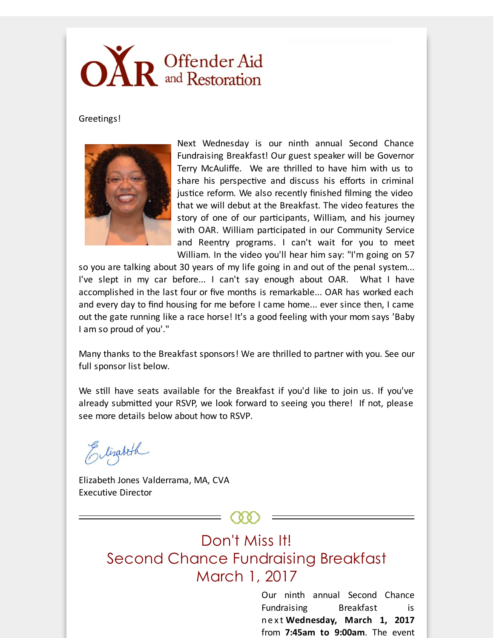## OAR Offender Aid

Greetings!



Next Wednesday is our ninth annual Second Chance Fundraising Breakfast! Our guest speaker will be Governor Terry McAuliffe. We are thrilled to have him with us to share his perspective and discuss his efforts in criminal justice reform. We also recently finished filming the video that we will debut at the Breakfast. The video features the story of one of our participants, William, and his journey with OAR. William participated in our Community Service and Reentry programs. I can't wait for you to meet William. In the video you'll hear him say: "I'm going on 57

so you are talking about 30 years of my life going in and out of the penal system... I've slept in my car before... I can't say enough about OAR. What I have accomplished in the last four or five months is remarkable... OAR has worked each and every day to find housing for me before I came home... ever since then, I came out the gate running like a race horse! It's a good feeling with your mom says 'Baby I am so proud of you'."

Many thanks to the Breakfast sponsors! We are thrilled to partner with you. See our full sponsor list below.

We still have seats available for the Breakfast if you'd like to join us. If you've already submitted your RSVP, we look forward to seeing you there! If not, please see more details below about how to RSVP.

Elizabeth

Elizabeth Jones Valderrama, MA, CVA Executive Director

Don't Miss It! Second Chance Fundraising Breakfast March 1, 2017

> Our ninth annual Second Chance Fundraising Breakfast is ne x t **Wednesday, March 1, 2017** from **7:45am to 9:00am**. The event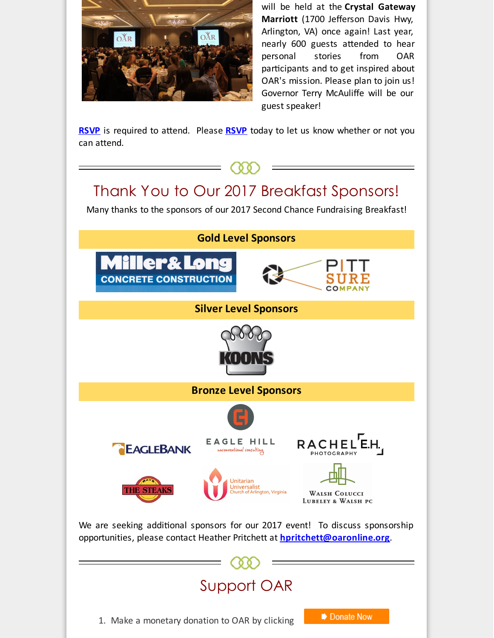

will be held at the **Crystal Gateway Marriott** (1700 Jefferson Davis Hwy, Arlington, VA) once again! Last year, nearly 600 guests attended to hear personal stories from OAR participants and to get inspired about OAR's mission. Please plan to join us! Governor Terry McAuliffe will be our guest speaker!

**[RSVP](http://r20.rs6.net/tn.jsp?f=001Y5EbBzDT7I2WZDeDGnOa-0svGQn0fbqxwBtK73prFwv42fGG68Ssg7aMiY_EZAjngS4dmiYR66pzHtugx0sqpzrvDWj_v9ZlNpAeduYv6IrDcGF_Or87oOU3lgPzLKdl4IrVVoMPSsYiE1PTUNUsSqKG9rJyw_iucLOgDkHXhUvBmlIeE5z0R1P4Dk8imvcK6izxYvxkuBZwHK2FwMMO28Wq_67OTpPMauJBbwZzXxanrJmoIdcx8orLlft2nvP61c1javzS1LDFl-zHA5GCoyY_J9CgSlpDusESXJ8eWcXyiRAnF5lj7aKJjS_X8oWk6dmnFm9xD1F4dvmbYpxkV6xr2ldSiPvS&c=&ch=)** is required to attend. Please **RSVP** today to let us know whether or not you can attend.